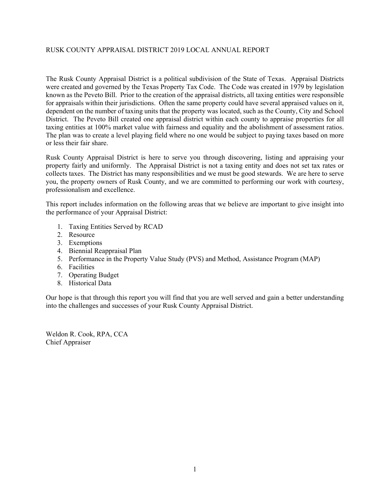# RUSK COUNTY APPRAISAL DISTRICT

2019 Local Annual Report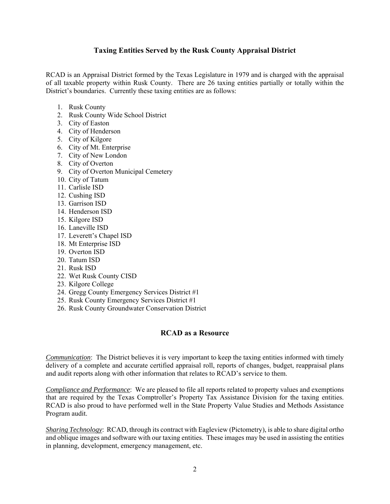## RUSK COUNTY APPRAISAL DISTRICT

# 2019

### LOCAL ANNUAL REPORT

BOARD OF DIRECTORS

Mr. Pat McCrory, Chairman

Mr. Clifford Harkless, Vice Chairman

Mrs. Lanita Whitehead, Secretary

Mr. Jon Johnston, Director

Mr. Jimmy Jones, Director

Chief Appraiser

 $\mathcal{L}_\text{max}$  , we have the set of the set of the set of the set of the set of the set of the set of the set of the set of the set of the set of the set of the set of the set of the set of the set of the set of the set of

Weldon R. Cook, RPA, CCA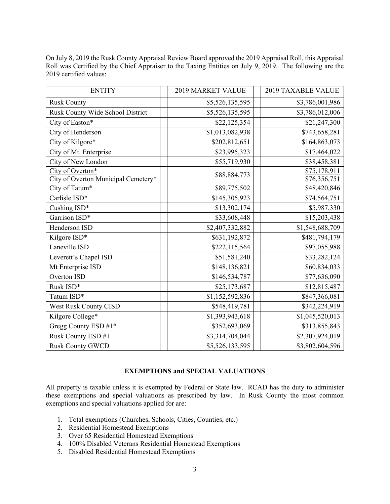#### RUSK COUNTY APPRAISAL DISTRICT 2019 LOCAL ANNUAL REPORT

The Rusk County Appraisal District is a political subdivision of the State of Texas. Appraisal Districts were created and governed by the Texas Property Tax Code. The Code was created in 1979 by legislation known as the Peveto Bill. Prior to the creation of the appraisal districts, all taxing entities were responsible for appraisals within their jurisdictions. Often the same property could have several appraised values on it, dependent on the number of taxing units that the property was located, such as the County, City and School District. The Peveto Bill created one appraisal district within each county to appraise properties for all taxing entities at 100% market value with fairness and equality and the abolishment of assessment ratios. The plan was to create a level playing field where no one would be subject to paying taxes based on more or less their fair share.

Rusk County Appraisal District is here to serve you through discovering, listing and appraising your property fairly and uniformly. The Appraisal District is not a taxing entity and does not set tax rates or collects taxes. The District has many responsibilities and we must be good stewards. We are here to serve you, the property owners of Rusk County, and we are committed to performing our work with courtesy, professionalism and excellence.

This report includes information on the following areas that we believe are important to give insight into the performance of your Appraisal District:

- 1. Taxing Entities Served by RCAD
- 2. Resource
- 3. Exemptions
- 4. Biennial Reappraisal Plan
- 5. Performance in the Property Value Study (PVS) and Method, Assistance Program (MAP)
- 6. Facilities
- 7. Operating Budget
- 8. Historical Data

Our hope is that through this report you will find that you are well served and gain a better understanding into the challenges and successes of your Rusk County Appraisal District.

Weldon R. Cook, RPA, CCA Chief Appraiser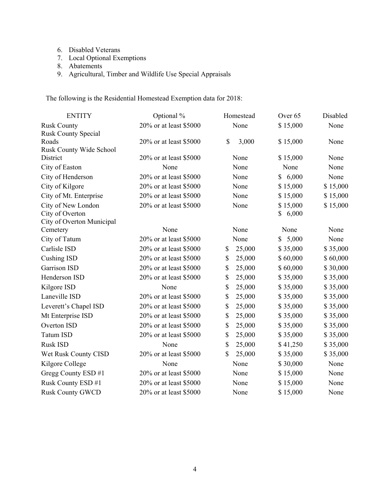#### **Taxing Entities Served by the Rusk County Appraisal District**

RCAD is an Appraisal District formed by the Texas Legislature in 1979 and is charged with the appraisal of all taxable property within Rusk County. There are 26 taxing entities partially or totally within the District's boundaries. Currently these taxing entities are as follows:

- 1. Rusk County
- 2. Rusk County Wide School District
- 3. City of Easton
- 4. City of Henderson
- 5. City of Kilgore
- 6. City of Mt. Enterprise
- 7. City of New London
- 8. City of Overton
- 9. City of Overton Municipal Cemetery
- 10. City of Tatum
- 11. Carlisle ISD
- 12. Cushing ISD
- 13. Garrison ISD
- 14. Henderson ISD
- 15. Kilgore ISD
- 16. Laneville ISD
- 17. Leverett's Chapel ISD
- 18. Mt Enterprise ISD
- 19. Overton ISD
- 20. Tatum ISD
- 21. Rusk ISD
- 22. Wet Rusk County CISD
- 23. Kilgore College
- 24. Gregg County Emergency Services District #1
- 25. Rusk County Emergency Services District #1
- 26. Rusk County Groundwater Conservation District

#### **RCAD as a Resource**

*Communication*: The District believes it is very important to keep the taxing entities informed with timely delivery of a complete and accurate certified appraisal roll, reports of changes, budget, reappraisal plans and audit reports along with other information that relates to RCAD's service to them.

*Compliance and Performance*: We are pleased to file all reports related to property values and exemptions that are required by the Texas Comptroller's Property Tax Assistance Division for the taxing entities. RCAD is also proud to have performed well in the State Property Value Studies and Methods Assistance Program audit.

*Sharing Technology*: RCAD, through its contract with Eagleview (Pictometry), is able to share digital ortho and oblique images and software with our taxing entities. These images may be used in assisting the entities in planning, development, emergency management, etc.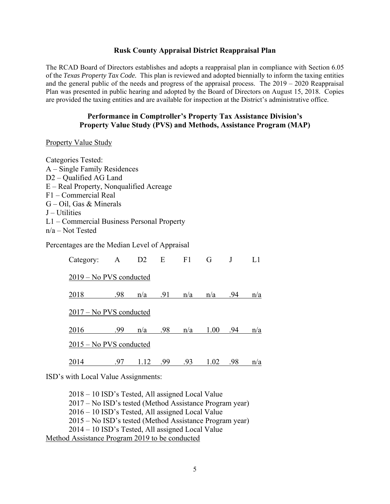| <b>ENTITY</b>                                           | 2019 MARKET VALUE | 2019 TAXABLE VALUE           |
|---------------------------------------------------------|-------------------|------------------------------|
| <b>Rusk County</b>                                      | \$5,526,135,595   | \$3,786,001,986              |
| Rusk County Wide School District                        | \$5,526,135,595   | \$3,786,012,006              |
| City of Easton*                                         | \$22,125,354      | \$21,247,300                 |
| City of Henderson                                       | \$1,013,082,938   | \$743,658,281                |
| City of Kilgore*                                        | \$202,812,651     | \$164,863,073                |
| City of Mt. Enterprise                                  | \$23,995,323      | \$17,464,022                 |
| City of New London                                      | \$55,719,930      | \$38,458,381                 |
| City of Overton*<br>City of Overton Municipal Cemetery* | \$88,884,773      | \$75,178,911<br>\$76,356,751 |
| City of Tatum*                                          | \$89,775,502      | \$48,420,846                 |
| Carlisle ISD*                                           | \$145,305,923     | \$74,564,751                 |
| Cushing ISD*                                            | \$13,302,174      | \$5,987,330                  |
| Garrison ISD*                                           | \$33,608,448      | \$15,203,438                 |
| Henderson ISD                                           | \$2,407,332,882   | \$1,548,688,709              |
| Kilgore ISD*                                            | \$631,192,872     | \$481,794,179                |
| Laneville ISD                                           | \$222,115,564     | \$97,055,988                 |
| Leverett's Chapel ISD                                   | \$51,581,240      | \$33,282,124                 |
| Mt Enterprise ISD                                       | \$148,136,821     | \$60,834,033                 |
| Overton ISD                                             | \$146,534,787     | \$77,636,090                 |
| Rusk ISD*                                               | \$25,173,687      | \$12,815,487                 |
| Tatum ISD*                                              | \$1,152,592,836   | \$847,366,081                |
| <b>West Rusk County CISD</b>                            | \$548,419,781     | \$342,224,919                |
| Kilgore College*                                        | \$1,393,943,618   | \$1,045,520,013              |
| Gregg County ESD #1*                                    | \$352,693,069     | \$313,855,843                |
| Rusk County ESD #1                                      | \$3,314,704,044   | \$2,307,924,019              |
| <b>Rusk County GWCD</b>                                 | \$5,526,133,595   | \$3,802,604,596              |

On July 8, 2019 the Rusk County Appraisal Review Board approved the 2019 Appraisal Roll, this Appraisal Roll was Certified by the Chief Appraiser to the Taxing Entities on July 9, 2019. The following are the 2019 certified values:

#### **EXEMPTIONS and SPECIAL VALUATIONS**

All property is taxable unless it is exempted by Federal or State law. RCAD has the duty to administer these exemptions and special valuations as prescribed by law. In Rusk County the most common exemptions and special valuations applied for are:

- 1. Total exemptions (Churches, Schools, Cities, Counties, etc.)
- 2. Residential Homestead Exemptions
- 3. Over 65 Residential Homestead Exemptions
- 4. 100% Disabled Veterans Residential Homestead Exemptions
- 5. Disabled Residential Homestead Exemptions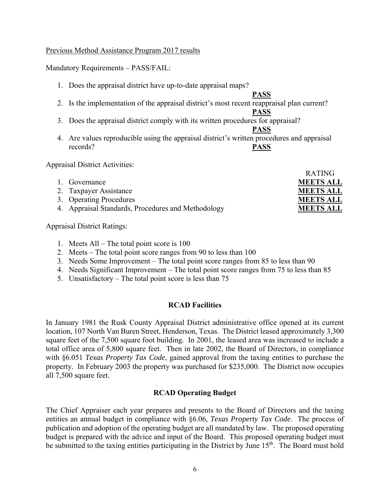- 6. Disabled Veterans
- 7. Local Optional Exemptions
- 8. Abatements
- 9. Agricultural, Timber and Wildlife Use Special Appraisals

The following is the Residential Homestead Exemption data for 2018:

| <b>ENTITY</b>              | Optional %             | Homestead    | Over <sub>65</sub> | Disabled |
|----------------------------|------------------------|--------------|--------------------|----------|
| <b>Rusk County</b>         | 20% or at least \$5000 | None         | \$15,000           | None     |
| <b>Rusk County Special</b> |                        |              |                    |          |
| Roads                      | 20% or at least \$5000 | \$<br>3,000  | \$15,000           | None     |
| Rusk County Wide School    |                        |              |                    |          |
| District                   | 20% or at least \$5000 | None         | \$15,000           | None     |
| City of Easton             | None                   | None         | None               | None     |
| City of Henderson          | 20% or at least \$5000 | None         | 6,000<br>\$        | None     |
| City of Kilgore            | 20% or at least \$5000 | None         | \$15,000           | \$15,000 |
| City of Mt. Enterprise     | 20% or at least \$5000 | None         | \$15,000           | \$15,000 |
| City of New London         | 20% or at least \$5000 | None         | \$15,000           | \$15,000 |
| City of Overton            |                        |              | \$6,000            |          |
| City of Overton Municipal  |                        |              |                    |          |
| Cemetery                   | None                   | None         | None               | None     |
| City of Tatum              | 20% or at least \$5000 | None         | \$5,000            | None     |
| Carlisle ISD               | 20% or at least \$5000 | 25,000<br>\$ | \$35,000           | \$35,000 |
| <b>Cushing ISD</b>         | 20% or at least \$5000 | \$<br>25,000 | \$60,000           | \$60,000 |
| Garrison ISD               | 20% or at least \$5000 | 25,000<br>\$ | \$60,000           | \$30,000 |
| Henderson ISD              | 20% or at least \$5000 | \$<br>25,000 | \$35,000           | \$35,000 |
| Kilgore ISD                | None                   | \$<br>25,000 | \$35,000           | \$35,000 |
| Laneville ISD              | 20% or at least \$5000 | \$<br>25,000 | \$35,000           | \$35,000 |
| Leverett's Chapel ISD      | 20% or at least \$5000 | \$<br>25,000 | \$35,000           | \$35,000 |
| Mt Enterprise ISD          | 20% or at least \$5000 | \$<br>25,000 | \$35,000           | \$35,000 |
| Overton ISD                | 20% or at least \$5000 | \$<br>25,000 | \$35,000           | \$35,000 |
| <b>Tatum ISD</b>           | 20% or at least \$5000 | \$<br>25,000 | \$35,000           | \$35,000 |
| Rusk ISD                   | None                   | \$<br>25,000 | \$41,250           | \$35,000 |
| Wet Rusk County CISD       | 20% or at least \$5000 | \$<br>25,000 | \$35,000           | \$35,000 |
| Kilgore College            | None                   | None         | \$30,000           | None     |
| Gregg County ESD #1        | 20% or at least \$5000 | None         | \$15,000           | None     |
| Rusk County ESD #1         | 20% or at least \$5000 | None         | \$15,000           | None     |
| <b>Rusk County GWCD</b>    | 20% or at least \$5000 | None         | \$15,000           | None     |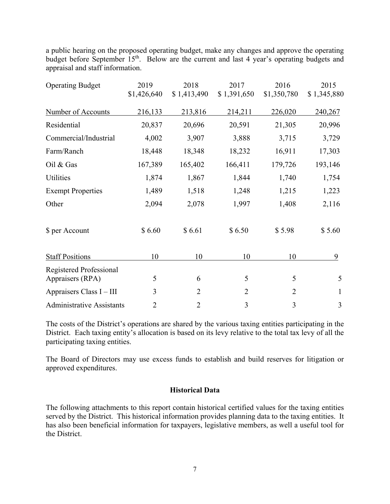#### **Rusk County Appraisal District Reappraisal Plan**

The RCAD Board of Directors establishes and adopts a reappraisal plan in compliance with Section 6.05 of the *Texas Property Tax Code.* This plan is reviewed and adopted biennially to inform the taxing entities and the general public of the needs and progress of the appraisal process. The 2019 – 2020 Reappraisal Plan was presented in public hearing and adopted by the Board of Directors on August 15, 2018. Copies are provided the taxing entities and are available for inspection at the District's administrative office.

#### **Performance in Comptroller's Property Tax Assistance Division's Property Value Study (PVS) and Methods, Assistance Program (MAP)**

#### Property Value Study

| Categories Tested:                         |
|--------------------------------------------|
| A – Single Family Residences               |
| D <sub>2</sub> – Qualified AG Land         |
| $E - Real Property$ , Nonqualified Acreage |
| F1 - Commercial Real                       |
| $G - Oil$ , Gas & Minerals                 |
| $J-Utilities$                              |
| L1 – Commercial Business Personal Property |
| $n/a - Not$ Tested                         |

Percentages are the Median Level of Appraisal

| Category:                 | $\mathbf{A}$ | D <sub>2</sub> | E   | F1  | G    |     |     |
|---------------------------|--------------|----------------|-----|-----|------|-----|-----|
| 2019 – No PVS conducted   |              |                |     |     |      |     |     |
| 2018                      | .98          | n/a            | .91 | n/a | n/a  | .94 | n/a |
| $2017 - No PVS$ conducted |              |                |     |     |      |     |     |
| 2016                      | .99          | n/a            | .98 | n/a | 1.00 | .94 | n/a |
| 2015 – No PVS conducted   |              |                |     |     |      |     |     |
| 2014                      | .97          | 1.12           | .99 | .93 | 1.02 | .98 | n/a |

ISD's with Local Value Assignments:

2018 – 10 ISD's Tested, All assigned Local Value 2017 – No ISD's tested (Method Assistance Program year) 2016 – 10 ISD's Tested, All assigned Local Value 2015 – No ISD's tested (Method Assistance Program year) 2014 – 10 ISD's Tested, All assigned Local Value Method Assistance Program 2019 to be conducted